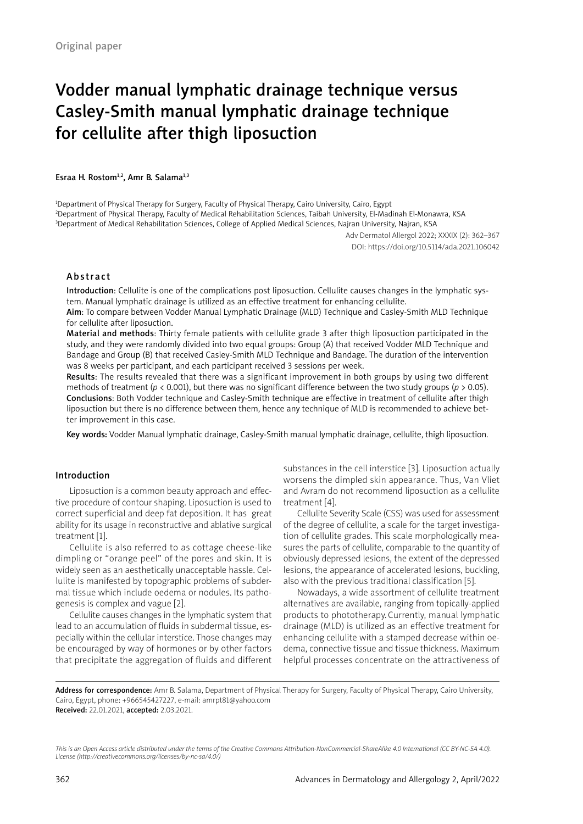# Vodder manual lymphatic drainage technique versus Casley-Smith manual lymphatic drainage technique for cellulite after thigh liposuction

Esraa H. Rostom<sup>1,2</sup>, Amr B. Salama<sup>1,3</sup>

1 Department of Physical Therapy for Surgery, Faculty of Physical Therapy, Cairo University, Cairo, Egypt 2 Department of Physical Therapy, Faculty of Medical Rehabilitation Sciences, Taibah University, El-Madinah El-Monawra, KSA 3 Department of Medical Rehabilitation Sciences, College of Applied Medical Sciences, Najran University, Najran, KSA

> Adv Dermatol Allergol 2022; XXXIX (2): 362–367 DOI: https://doi.org/10.5114/ada.2021.106042

#### Abstract

Introduction: Cellulite is one of the complications post liposuction. Cellulite causes changes in the lymphatic system. Manual lymphatic drainage is utilized as an effective treatment for enhancing cellulite.

Aim: To compare between Vodder Manual Lymphatic Drainage (MLD) Technique and Casley-Smith MLD Technique for cellulite after liposuction.

Material and methods: Thirty female patients with cellulite grade 3 after thigh liposuction participated in the study, and they were randomly divided into two equal groups: Group (A) that received Vodder MLD Technique and Bandage and Group (B) that received Casley-Smith MLD Technique and Bandage. The duration of the intervention was 8 weeks per participant, and each participant received 3 sessions per week.

Results: The results revealed that there was a significant improvement in both groups by using two different methods of treatment (*p* < 0.001), but there was no significant difference between the two study groups (*p* > 0.05). Conclusions: Both Vodder technique and Casley-Smith technique are effective in treatment of cellulite after thigh liposuction but there is no difference between them, hence any technique of MLD is recommended to achieve better improvement in this case.

Key words: Vodder Manual lymphatic drainage, Casley-Smith manual lymphatic drainage, cellulite, thigh liposuction.

## Introduction

Liposuction is a common beauty approach and effective procedure of contour shaping. Liposuction is used to correct superficial and deep fat deposition. It has great ability for its usage in reconstructive and ablative surgical treatment [1].

Cellulite is also referred to as cottage cheese-like dimpling or "orange peel" of the pores and skin. It is widely seen as an aesthetically unacceptable hassle. Cellulite is manifested by topographic problems of subdermal tissue which include oedema or nodules. Its pathogenesis is complex and vague [2].

Cellulite causes changes in the lymphatic system that lead to an accumulation of fluids in subdermal tissue, especially within the cellular interstice. Those changes may be encouraged by way of hormones or by other factors that precipitate the aggregation of fluids and different

substances in the cell interstice [3]. Liposuction actually worsens the dimpled skin appearance. Thus, Van Vliet and Avram do not recommend liposuction as a cellulite treatment [4].

Cellulite Severity Scale (CSS) was used for assessment of the degree of cellulite, a scale for the target investigation of cellulite grades. This scale morphologically measures the parts of cellulite, comparable to the quantity of obviously depressed lesions, the extent of the depressed lesions, the appearance of accelerated lesions, buckling, also with the previous traditional classification [5].

Nowadays, a wide assortment of cellulite treatment alternatives are available, ranging from topically-applied products to phototherapy. Currently, manual lymphatic drainage (MLD) is utilized as an effective treatment for enhancing cellulite with a stamped decrease within oedema, connective tissue and tissue thickness. Maximum helpful processes concentrate on the attractiveness of

Address for correspondence: Amr B. Salama, Department of Physical Therapy for Surgery, Faculty of Physical Therapy, Cairo University, Cairo, Egypt, phone: +966545427227, e-mail: amrpt81@yahoo.com Received: 22.01.2021, accepted: 2.03.2021.

*This is an Open Access article distributed under the terms of the Creative Commons Attribution-NonCommercial-ShareAlike 4.0 International (CC BY-NC-SA 4.0). License (http://creativecommons.org/licenses/by-nc-sa/4.0/)*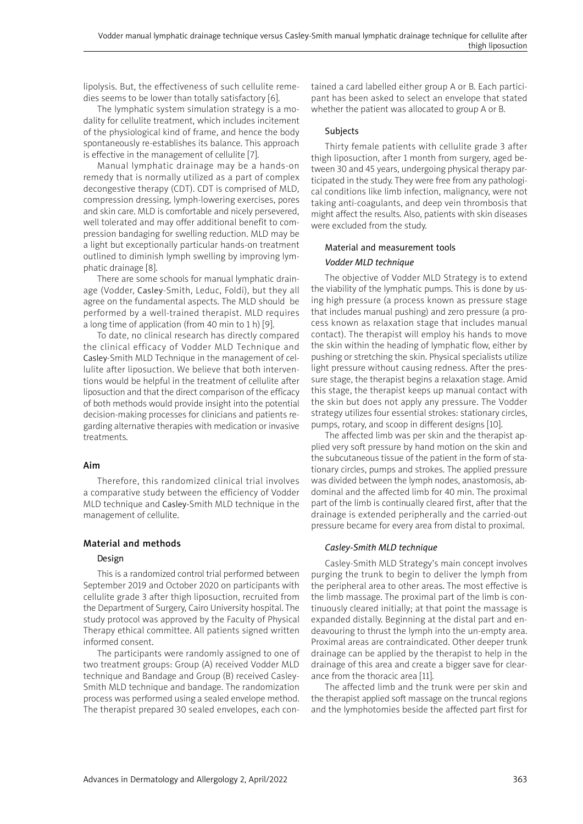lipolysis. But, the effectiveness of such cellulite remedies seems to be lower than totally satisfactory [6].

The lymphatic system simulation strategy is a modality for cellulite treatment, which includes incitement of the physiological kind of frame, and hence the body spontaneously re-establishes its balance. This approach is effective in the management of cellulite [7].

Manual lymphatic drainage may be a hands-on remedy that is normally utilized as a part of complex decongestive therapy (CDT). CDT is comprised of MLD, compression dressing, lymph-lowering exercises, pores and skin care. MLD is comfortable and nicely persevered, well tolerated and may offer additional benefit to compression bandaging for swelling reduction. MLD may be a light but exceptionally particular hands-on treatment outlined to diminish lymph swelling by improving lymphatic drainage [8].

There are some schools for manual lymphatic drainage (Vodder, Casley-Smith, Leduc, Foldi), but they all agree on the fundamental aspects. The MLD should be performed by a well-trained therapist. MLD requires a long time of application (from 40 min to 1 h) [9].

To date, no clinical research has directly compared the clinical efficacy of Vodder MLD Technique and Casley-Smith MLD Technique in the management of cellulite after liposuction. We believe that both interventions would be helpful in the treatment of cellulite after liposuction and that the direct comparison of the efficacy of both methods would provide insight into the potential decision-making processes for clinicians and patients regarding alternative therapies with medication or invasive treatments.

## Aim

Therefore, this randomized clinical trial involves a comparative study between the efficiency of Vodder MLD technique and Casley-Smith MLD technique in the management of cellulite.

# Material and methods

# Design

This is a randomized control trial performed between September 2019 and October 2020 on participants with cellulite grade 3 after thigh liposuction, recruited from the Department of Surgery, Cairo University hospital. The study protocol was approved by the Faculty of Physical Therapy ethical committee. All patients signed written informed consent.

The participants were randomly assigned to one of two treatment groups: Group (A) received Vodder MLD technique and Bandage and Group (B) received Casley-Smith MLD technique and bandage. The randomization process was performed using a sealed envelope method. The therapist prepared 30 sealed envelopes, each contained a card labelled either group A or B. Each participant has been asked to select an envelope that stated whether the patient was allocated to group A or B.

# Subjects

Thirty female patients with cellulite grade 3 after thigh liposuction, after 1 month from surgery, aged between 30 and 45 years, undergoing physical therapy participated in the study. They were free from any pathological conditions like limb infection, malignancy, were not taking anti-coagulants, and deep vein thrombosis that might affect the results. Also, patients with skin diseases were excluded from the study.

# Material and measurement tools *Vodder MLD technique*

The objective of Vodder MLD Strategy is to extend the viability of the lymphatic pumps. This is done by using high pressure (a process known as pressure stage that includes manual pushing) and zero pressure (a process known as relaxation stage that includes manual contact). The therapist will employ his hands to move the skin within the heading of lymphatic flow, either by pushing or stretching the skin. Physical specialists utilize light pressure without causing redness. After the pressure stage, the therapist begins a relaxation stage. Amid this stage, the therapist keeps up manual contact with the skin but does not apply any pressure. The Vodder strategy utilizes four essential strokes: stationary circles, pumps, rotary, and scoop in different designs [10].

The affected limb was per skin and the therapist applied very soft pressure by hand motion on the skin and the subcutaneous tissue of the patient in the form of stationary circles, pumps and strokes. The applied pressure was divided between the lymph nodes, anastomosis, abdominal and the affected limb for 40 min. The proximal part of the limb is continually cleared first, after that the drainage is extended peripherally and the carried-out pressure became for every area from distal to proximal.

# *Casley-Smith MLD technique*

Casley-Smith MLD Strategy's main concept involves purging the trunk to begin to deliver the lymph from the peripheral area to other areas. The most effective is the limb massage. The proximal part of the limb is continuously cleared initially; at that point the massage is expanded distally. Beginning at the distal part and endeavouring to thrust the lymph into the un-empty area. Proximal areas are contraindicated. Other deeper trunk drainage can be applied by the therapist to help in the drainage of this area and create a bigger save for clearance from the thoracic area [11].

The affected limb and the trunk were per skin and the therapist applied soft massage on the truncal regions and the lymphotomies beside the affected part first for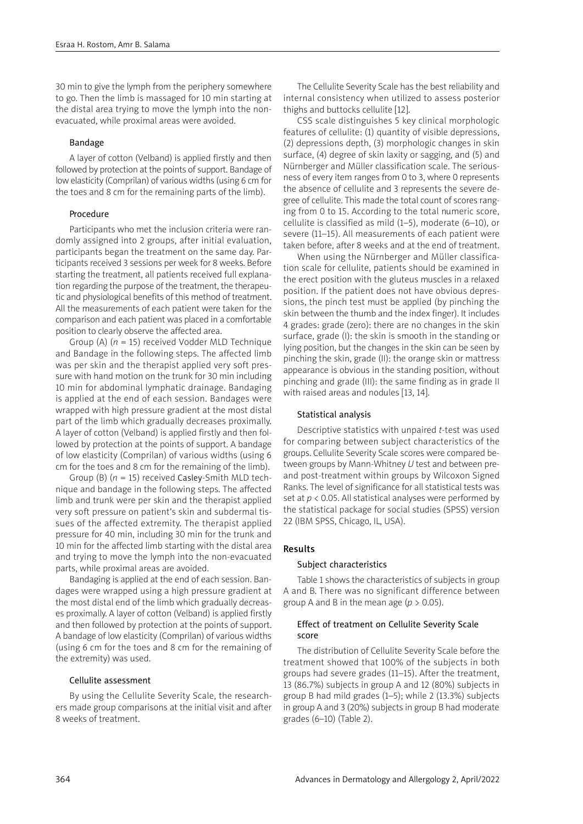30 min to give the lymph from the periphery somewhere to go. Then the limb is massaged for 10 min starting at the distal area trying to move the lymph into the nonevacuated, while proximal areas were avoided.

## Bandage

A layer of cotton (Velband) is applied firstly and then followed by protection at the points of support. Bandage of low elasticity (Comprilan) of various widths (using 6 cm for the toes and 8 cm for the remaining parts of the limb).

## Procedure

Participants who met the inclusion criteria were randomly assigned into 2 groups, after initial evaluation, participants began the treatment on the same day. Participants received 3 sessions per week for 8 weeks. Before starting the treatment, all patients received full explanation regarding the purpose of the treatment, the therapeutic and physiological benefits of this method of treatment. All the measurements of each patient were taken for the comparison and each patient was placed in a comfortable position to clearly observe the affected area.

Group (A) (*n* = 15) received Vodder MLD Technique and Bandage in the following steps. The affected limb was per skin and the therapist applied very soft pressure with hand motion on the trunk for 30 min including 10 min for abdominal lymphatic drainage. Bandaging is applied at the end of each session. Bandages were wrapped with high pressure gradient at the most distal part of the limb which gradually decreases proximally. A layer of cotton (Velband) is applied firstly and then followed by protection at the points of support. A bandage of low elasticity (Comprilan) of various widths (using 6 cm for the toes and 8 cm for the remaining of the limb).

Group (B) (*n* = 15) received Casley-Smith MLD technique and bandage in the following steps. The affected limb and trunk were per skin and the therapist applied very soft pressure on patient's skin and subdermal tissues of the affected extremity. The therapist applied pressure for 40 min, including 30 min for the trunk and 10 min for the affected limb starting with the distal area and trying to move the lymph into the non-evacuated parts, while proximal areas are avoided.

Bandaging is applied at the end of each session. Bandages were wrapped using a high pressure gradient at the most distal end of the limb which gradually decreases proximally. A layer of cotton (Velband) is applied firstly and then followed by protection at the points of support. A bandage of low elasticity (Comprilan) of various widths (using 6 cm for the toes and 8 cm for the remaining of the extremity) was used.

#### Cellulite assessment

By using the Cellulite Severity Scale, the researchers made group comparisons at the initial visit and after 8 weeks of treatment.

The Cellulite Severity Scale has the best reliability and internal consistency when utilized to assess posterior thighs and buttocks cellulite [12].

CSS scale distinguishes 5 key clinical morphologic features of cellulite: (1) quantity of visible depressions, (2) depressions depth, (3) morphologic changes in skin surface, (4) degree of skin laxity or sagging, and (5) and Nürnberger and Müller classification scale. The seriousness of every item ranges from 0 to 3, where 0 represents the absence of cellulite and 3 represents the severe degree of cellulite. This made the total count of scores ranging from 0 to 15. According to the total numeric score, cellulite is classified as mild (1–5), moderate (6–10), or severe (11–15). All measurements of each patient were taken before, after 8 weeks and at the end of treatment.

When using the Nürnberger and Müller classification scale for cellulite, patients should be examined in the erect position with the gluteus muscles in a relaxed position. If the patient does not have obvious depressions, the pinch test must be applied (by pinching the skin between the thumb and the index finger). It includes 4 grades: grade (zero): there are no changes in the skin surface, grade (I): the skin is smooth in the standing or lying position, but the changes in the skin can be seen by pinching the skin, grade (II): the orange skin or mattress appearance is obvious in the standing position, without pinching and grade (III): the same finding as in grade II with raised areas and nodules [13, 14].

# Statistical analysis

Descriptive statistics with unpaired *t*-test was used for comparing between subject characteristics of the groups. Cellulite Severity Scale scores were compared between groups by Mann-Whitney *U* test and between preand post-treatment within groups by Wilcoxon Signed Ranks. The level of significance for all statistical tests was set at  $p < 0.05$ . All statistical analyses were performed by the statistical package for social studies (SPSS) version 22 (IBM SPSS, Chicago, IL, USA).

# Results

### Subject characteristics

Table 1 shows the characteristics of subjects in group A and B. There was no significant difference between group A and B in the mean age  $(p > 0.05)$ .

## Effect of treatment on Cellulite Severity Scale score

The distribution of Cellulite Severity Scale before the treatment showed that 100% of the subjects in both groups had severe grades (11–15). After the treatment, 13 (86.7%) subjects in group A and 12 (80%) subjects in group B had mild grades (1–5); while 2 (13.3%) subjects in group A and 3 (20%) subjects in group B had moderate grades (6–10) (Table 2).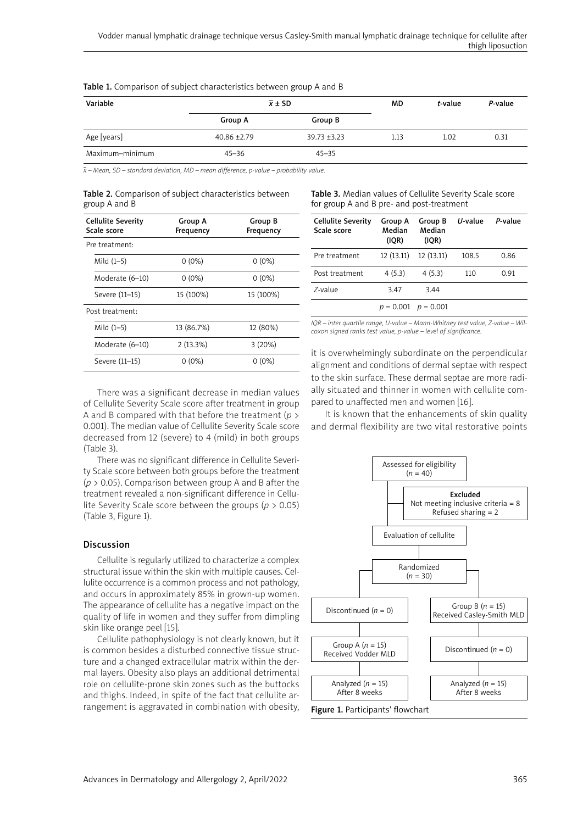| Variable        | $\overline{x} \pm SD$ |                | MD   | t-value | P-value |
|-----------------|-----------------------|----------------|------|---------|---------|
|                 | <b>Group A</b>        | Group B        |      |         |         |
| Age [years]     | $40.86 + 2.79$        | $39.73 + 3.23$ | 1.13 | 1.02    | 0.31    |
| Maximum-minimum | 45–36                 | $45 - 35$      |      |         |         |

Table 1. Comparison of subject characteristics between group A and B

*x – Mean, SD – standard deviation, MD – mean difference, p-value – probability value.*

|               |  | Table 2. Comparison of subject characteristics between |  |
|---------------|--|--------------------------------------------------------|--|
| group A and B |  |                                                        |  |

| <b>Group A</b><br>Frequency | Group B<br>Frequency |  |
|-----------------------------|----------------------|--|
|                             |                      |  |
| $0(0\%)$                    | $0(0\%)$             |  |
| $0(0\%)$                    | $0(0\%)$             |  |
| 15 (100%)                   | 15 (100%)            |  |
|                             |                      |  |
| 13 (86.7%)                  | 12 (80%)             |  |
| 2(13.3%)                    | 3(20%)               |  |
| $0(0\%)$                    | $0(0\%)$             |  |
|                             |                      |  |

Table 3. Median values of Cellulite Severity Scale score for group A and B pre- and post-treatment

| <b>Cellulite Severity</b><br>Scale score | <b>Group A</b><br>Median<br>(IOR) | <b>Group B</b><br>Median<br>(IOR) | $U$ -value | P-value |
|------------------------------------------|-----------------------------------|-----------------------------------|------------|---------|
| Pre treatment                            | 12 (13.11)                        | 12(13.11)                         | 108.5      | 0.86    |
| Post treatment                           | 4(5.3)                            | 4(5.3)                            | 110        | 0.91    |
| Z-value                                  | 3.47                              | 3.44                              |            |         |
|                                          | $p = 0.001$                       | $p = 0.001$                       |            |         |

*IQR – inter quartile range, U-value – Mann-Whitney test value, Z-value – Wilcoxon signed ranks test value, p-value – level of significance.*

There was a significant decrease in median values of Cellulite Severity Scale score after treatment in group A and B compared with that before the treatment (*p* > 0.001). The median value of Cellulite Severity Scale score decreased from 12 (severe) to 4 (mild) in both groups (Table 3).

There was no significant difference in Cellulite Severity Scale score between both groups before the treatment (*p* > 0.05). Comparison between group A and B after the treatment revealed a non-significant difference in Cellulite Severity Scale score between the groups (*p* > 0.05) (Table 3, Figure 1).

# Discussion

Cellulite is regularly utilized to characterize a complex structural issue within the skin with multiple causes. Cellulite occurrence is a common process and not pathology, and occurs in approximately 85% in grown-up women. The appearance of cellulite has a negative impact on the quality of life in women and they suffer from dimpling skin like orange peel [15].

Cellulite pathophysiology is not clearly known, but it is common besides a disturbed connective tissue structure and a changed extracellular matrix within the dermal layers. Obesity also plays an additional detrimental role on cellulite-prone skin zones such as the buttocks and thighs. Indeed, in spite of the fact that cellulite arrangement is aggravated in combination with obesity,

it is overwhelmingly subordinate on the perpendicular alignment and conditions of dermal septae with respect to the skin surface. These dermal septae are more radially situated and thinner in women with cellulite compared to unaffected men and women [16].

It is known that the enhancements of skin quality and dermal flexibility are two vital restorative points

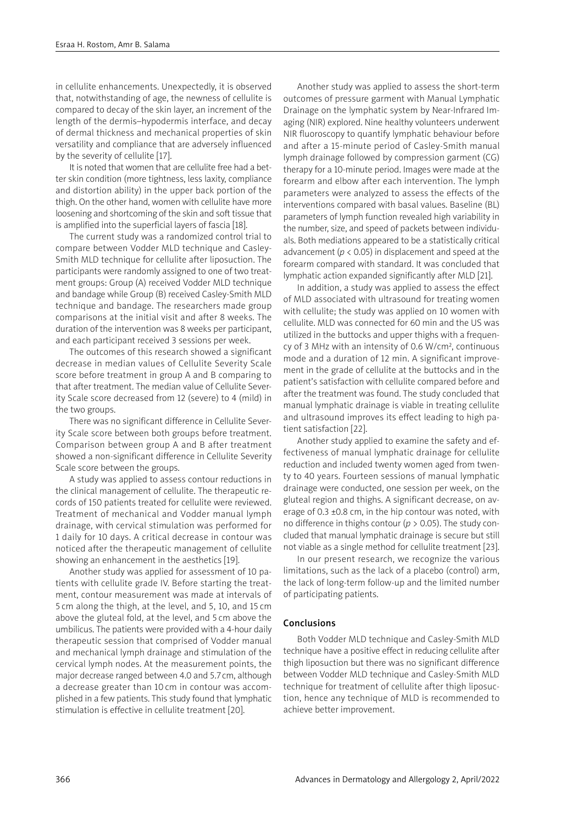in cellulite enhancements. Unexpectedly, it is observed that, notwithstanding of age, the newness of cellulite is compared to decay of the skin layer, an increment of the length of the dermis–hypodermis interface, and decay of dermal thickness and mechanical properties of skin versatility and compliance that are adversely influenced by the severity of cellulite [17].

It is noted that women that are cellulite free had a better skin condition (more tightness, less laxity, compliance and distortion ability) in the upper back portion of the thigh. On the other hand, women with cellulite have more loosening and shortcoming of the skin and soft tissue that is amplified into the superficial layers of fascia [18].

The current study was a randomized control trial to compare between Vodder MLD technique and Casley-Smith MLD technique for cellulite after liposuction. The participants were randomly assigned to one of two treatment groups: Group (A) received Vodder MLD technique and bandage while Group (B) received Casley-Smith MLD technique and bandage. The researchers made group comparisons at the initial visit and after 8 weeks. The duration of the intervention was 8 weeks per participant, and each participant received 3 sessions per week.

The outcomes of this research showed a significant decrease in median values of Cellulite Severity Scale score before treatment in group A and B comparing to that after treatment. The median value of Cellulite Severity Scale score decreased from 12 (severe) to 4 (mild) in the two groups.

There was no significant difference in Cellulite Severity Scale score between both groups before treatment. Comparison between group A and B after treatment showed a non-significant difference in Cellulite Severity Scale score between the groups.

A study was applied to assess contour reductions in the clinical management of cellulite. The therapeutic records of 150 patients treated for cellulite were reviewed. Treatment of mechanical and Vodder manual lymph drainage, with cervical stimulation was performed for 1 daily for 10 days. A critical decrease in contour was noticed after the therapeutic management of cellulite showing an enhancement in the aesthetics [19].

Another study was applied for assessment of 10 patients with cellulite grade IV. Before starting the treatment, contour measurement was made at intervals of 5 cm along the thigh, at the level, and 5, 10, and 15 cm above the gluteal fold, at the level, and 5 cm above the umbilicus. The patients were provided with a 4-hour daily therapeutic session that comprised of Vodder manual and mechanical lymph drainage and stimulation of the cervical lymph nodes. At the measurement points, the major decrease ranged between 4.0 and 5.7cm, although a decrease greater than 10 cm in contour was accomplished in a few patients. This study found that lymphatic stimulation is effective in cellulite treatment [20].

Another study was applied to assess the short-term outcomes of pressure garment with Manual Lymphatic Drainage on the lymphatic system by Near-Infrared Imaging (NIR) explored. Nine healthy volunteers underwent NIR fluoroscopy to quantify lymphatic behaviour before and after a 15-minute period of Casley-Smith manual lymph drainage followed by compression garment (CG) therapy for a 10-minute period. Images were made at the forearm and elbow after each intervention. The lymph parameters were analyzed to assess the effects of the interventions compared with basal values. Baseline (BL) parameters of lymph function revealed high variability in the number, size, and speed of packets between individuals. Both mediations appeared to be a statistically critical advancement ( $p < 0.05$ ) in displacement and speed at the forearm compared with standard. It was concluded that lymphatic action expanded significantly after MLD [21].

In addition, a study was applied to assess the effect of MLD associated with ultrasound for treating women with cellulite; the study was applied on 10 women with cellulite. MLD was connected for 60 min and the US was utilized in the buttocks and upper thighs with a frequency of 3 MHz with an intensity of 0.6 W/cm², continuous mode and a duration of 12 min. A significant improvement in the grade of cellulite at the buttocks and in the patient's satisfaction with cellulite compared before and after the treatment was found. The study concluded that manual lymphatic drainage is viable in treating cellulite and ultrasound improves its effect leading to high patient satisfaction [22].

Another study applied to examine the safety and effectiveness of manual lymphatic drainage for cellulite reduction and included twenty women aged from twenty to 40 years. Fourteen sessions of manual lymphatic drainage were conducted, one session per week, on the gluteal region and thighs. A significant decrease, on average of 0.3  $\pm$ 0.8 cm, in the hip contour was noted, with no difference in thighs contour (*p* > 0.05). The study concluded that manual lymphatic drainage is secure but still not viable as a single method for cellulite treatment [23].

In our present research, we recognize the various limitations, such as the lack of a placebo (control) arm, the lack of long-term follow-up and the limited number of participating patients.

## Conclusions

Both Vodder MLD technique and Casley-Smith MLD technique have a positive effect in reducing cellulite after thigh liposuction but there was no significant difference between Vodder MLD technique and Casley-Smith MLD technique for treatment of cellulite after thigh liposuction, hence any technique of MLD is recommended to achieve better improvement.